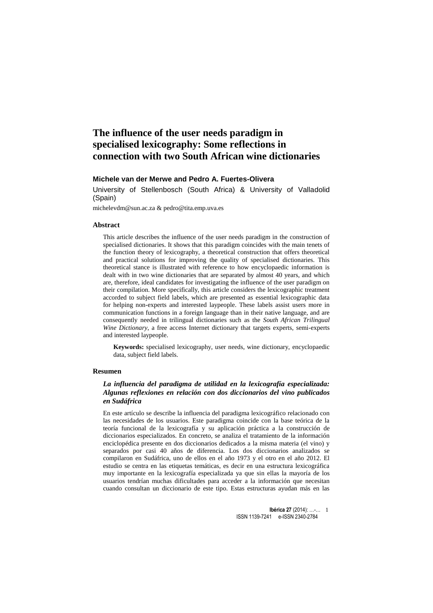# **The influence of the user needs paradigm in specialised lexicography: Some reflections in connection with two South African wine dictionaries**

# **Michele van der Merwe and Pedro A. Fuertes-Olivera**

University of Stellenbosch (South Africa) & University of Valladolid (Spain)

[michelevdm@sun.ac.za](mailto:michelevdm@sun.ac.za) & [pedro@tita.emp.uva.es](mailto:pedro@tita.emp.uva.es)

#### **Abstract**

This article describes the influence of the user needs paradigm in the construction of specialised dictionaries. It shows that this paradigm coincides with the main tenets of the function theory of lexicography, a theoretical construction that offers theoretical and practical solutions for improving the quality of specialised dictionaries. This theoretical stance is illustrated with reference to how encyclopaedic information is dealt with in two wine dictionaries that are separated by almost 40 years, and which are, therefore, ideal candidates for investigating the influence of the user paradigm on their compilation. More specifically, this article considers the lexicographic treatment accorded to subject field labels, which are presented as essential lexicographic data for helping non-experts and interested laypeople. These labels assist users more in communication functions in a foreign language than in their native language, and are consequently needed in trilingual dictionaries such as the *South African Trilingual Wine Dictionary*, a free access Internet dictionary that targets experts, semi-experts and interested laypeople.

**Keywords:** specialised lexicography, user needs, wine dictionary, encyclopaedic data, subject field labels.

## **Resumen**

# *La influencia del paradigma de utilidad en la lexicografía especializada: Algunas reflexiones en relación con dos diccionarios del vino publicados en Sudáfrica*

En este artículo se describe la influencia del paradigma lexicográfico relacionado con las necesidades de los usuarios. Este paradigma coincide con la base teórica de la teoría funcional de la lexicografía y su aplicación práctica a la construcción de diccionarios especializados. En concreto, se analiza el tratamiento de la información enciclopédica presente en dos diccionarios dedicados a la misma materia (el vino) y separados por casi 40 años de diferencia. Los dos diccionarios analizados se compilaron en Sudáfrica, uno de ellos en el año 1973 y el otro en el año 2012. El estudio se centra en las etiquetas temáticas, es decir en una estructura lexicográfica muy importante en la lexicografía especializada ya que sin ellas la mayoría de los usuarios tendrían muchas dificultades para acceder a la información que necesitan cuando consultan un diccionario de este tipo. Estas estructuras ayudan más en las

> **Ibérica 27** (2014): …-… 1 ISSN 1139-7241 e-ISSN 2340-2784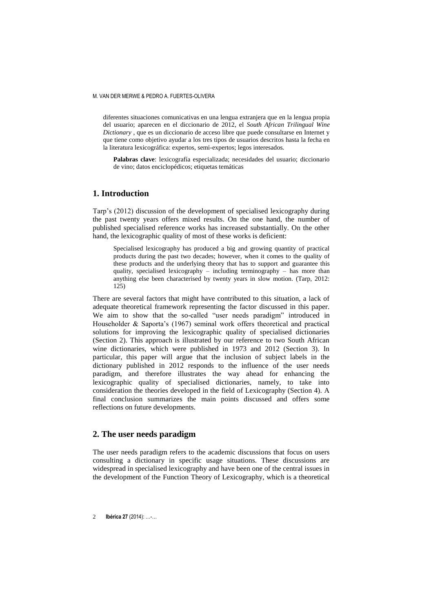diferentes situaciones comunicativas en una lengua extranjera que en la lengua propia del usuario; aparecen en el diccionario de 2012, el *South African Trilingual Wine Dictionary* , que es un diccionario de acceso libre que puede consultarse en Internet y que tiene como objetivo ayudar a los tres tipos de usuarios descritos hasta la fecha en la literatura lexicográfica: expertos, semi-expertos; legos interesados.

**Palabras clave**: lexicografía especializada; necesidades del usuario; diccionario de vino; datos enciclopédicos; etiquetas temáticas

# **1. Introduction**

Tarp's (2012) discussion of the development of specialised lexicography during the past twenty years offers mixed results. On the one hand, the number of published specialised reference works has increased substantially. On the other hand, the lexicographic quality of most of these works is deficient:

Specialised lexicography has produced a big and growing quantity of practical products during the past two decades; however, when it comes to the quality of these products and the underlying theory that has to support and guarantee this quality, specialised lexicography – including terminography – has more than anything else been characterised by twenty years in slow motion. (Tarp, 2012: 125)

There are several factors that might have contributed to this situation, a lack of adequate theoretical framework representing the factor discussed in this paper. We aim to show that the so-called "user needs paradigm" introduced in Householder & Saporta's (1967) seminal work offers theoretical and practical solutions for improving the lexicographic quality of specialised dictionaries (Section 2). This approach is illustrated by our reference to two South African wine dictionaries, which were published in 1973 and 2012 (Section 3). In particular, this paper will argue that the inclusion of subject labels in the dictionary published in 2012 responds to the influence of the user needs paradigm, and therefore illustrates the way ahead for enhancing the lexicographic quality of specialised dictionaries, namely, to take into consideration the theories developed in the field of Lexicography (Section 4). A final conclusion summarizes the main points discussed and offers some reflections on future developments.

# **2. The user needs paradigm**

The user needs paradigm refers to the academic discussions that focus on users consulting a dictionary in specific usage situations. These discussions are widespread in specialised lexicography and have been one of the central issues in the development of the Function Theory of Lexicography, which is a theoretical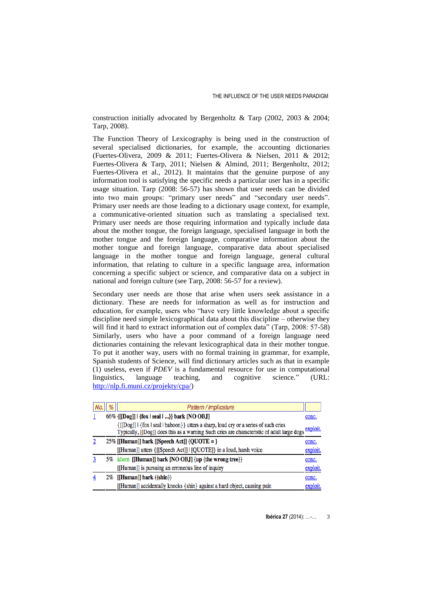construction initially advocated by Bergenholtz & Tarp (2002, 2003 & 2004; Tarp, 2008).

The Function Theory of Lexicography is being used in the construction of several specialised dictionaries, for example, the accounting dictionaries (Fuertes-Olivera, 2009 & 2011; Fuertes-Olivera & Nielsen, 2011 & 2012; Fuertes-Olivera & Tarp, 2011; Nielsen & Almind, 2011; Bergenholtz, 2012; Fuertes-Olivera et al., 2012). It maintains that the genuine purpose of any information tool is satisfying the specific needs a particular user has in a specific usage situation. Tarp (2008: 56-57) has shown that user needs can be divided into two main groups: "primary user needs" and "secondary user needs". Primary user needs are those leading to a dictionary usage context, for example, a communicative-oriented situation such as translating a specialised text. Primary user needs are those requiring information and typically include data about the mother tongue, the foreign language, specialised language in both the mother tongue and the foreign language, comparative information about the mother tongue and foreign language, comparative data about specialised language in the mother tongue and foreign language, general cultural information, that relating to culture in a specific language area, information concerning a specific subject or science, and comparative data on a subject in national and foreign culture (see Tarp, 2008: 56-57 for a review).

Secondary user needs are those that arise when users seek assistance in a dictionary. These are needs for information as well as for instruction and education, for example, users who "have very little knowledge about a specific discipline need simple lexicographical data about this discipline – otherwise they will find it hard to extract information out of complex data" (Tarp, 2008: 57-58) Similarly, users who have a poor command of a foreign language need dictionaries containing the relevant lexicographical data in their mother tongue. To put it another way, users with no formal training in grammar, for example, Spanish students of Science, will find dictionary articles such as that in example (1) useless, even if *PDEV* is a fundamental resource for use in computational linguistics, language teaching, and cognitive science." (URL: [http://nlp.fi.muni.cz/projekty/cpa/\)](http://nlp.fi.muni.cz/projekty/cpa/)

| No. | % | <b>Pattern / Implicature</b>                                                                                                                                                                 |          |
|-----|---|----------------------------------------------------------------------------------------------------------------------------------------------------------------------------------------------|----------|
|     |   | 66% {[[Dog]]   {fox   seal   }} bark [NO OBJ]                                                                                                                                                | conc.    |
|     |   | {[[Dog]]   {fox   seal   baboon}} utters a sharp, loud cry or a series of such cries<br>Typically, [[Dog]] does this as a warning Such cries are characteristic of adult large dogs exploit. |          |
| 2   |   | 25% [[Human]] bark [[Speech Act]] $\{QUOTE = \}$                                                                                                                                             | conc.    |
|     |   | [[Human]] utters {[[Speech Act]]   [QUOTE]} in a loud, harsh voice                                                                                                                           | exploit. |
| 3   |   | 5% idiom [[Human]] bark [NO OBJ] {up {the wrong tree}}                                                                                                                                       | conc.    |
|     |   | [[Human]] is pursuing an erroneous line of inquiry                                                                                                                                           | exploit. |
| 4   |   | 2% [[Human]] bark ({shin})                                                                                                                                                                   | conc.    |
|     |   | [[Human]] accidentally knocks {shin} against a hard object, causing pain                                                                                                                     | exploit  |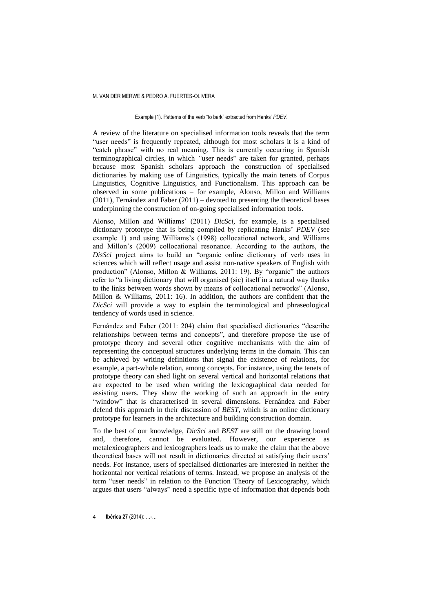#### Example (1). Patterns of the verb "to bark" extracted from Hanks' *PDEV*.

A review of the literature on specialised information tools reveals that the term "user needs" is frequently repeated, although for most scholars it is a kind of "catch phrase" with no real meaning. This is currently occurring in Spanish terminographical circles, in which *"*user needs" are taken for granted, perhaps because most Spanish scholars approach the construction of specialised dictionaries by making use of Linguistics, typically the main tenets of Corpus Linguistics, Cognitive Linguistics, and Functionalism. This approach can be observed in some publications – for example, Alonso, Millon and Williams  $(2011)$ , Fernández and Faber  $(2011)$  – devoted to presenting the theoretical bases underpinning the construction of on-going specialised information tools.

Alonso, Millon and Williams' (2011) *DicSci*, for example, is a specialised dictionary prototype that is being compiled by replicating Hanks' *PDEV* (see example 1) and using Williams's (1998) collocational network, and Williams and Millon's (2009) collocational resonance. According to the authors, the *DisSci* project aims to build an "organic online dictionary of verb uses in sciences which will reflect usage and assist non-native speakers of English with production" (Alonso, Millon & Williams, 2011: 19). By "organic" the authors refer to "a living dictionary that will organised (sic) itself in a natural way thanks to the links between words shown by means of collocational networks" (Alonso, Millon & Williams, 2011: 16). In addition, the authors are confident that the *DicSci* will provide a way to explain the terminological and phraseological tendency of words used in science.

Fernández and Faber (2011: 204) claim that specialised dictionaries "describe relationships between terms and concepts", and therefore propose the use of prototype theory and several other cognitive mechanisms with the aim of representing the conceptual structures underlying terms in the domain. This can be achieved by writing definitions that signal the existence of relations, for example, a part-whole relation, among concepts. For instance, using the tenets of prototype theory can shed light on several vertical and horizontal relations that are expected to be used when writing the lexicographical data needed for assisting users. They show the working of such an approach in the entry "window" that is characterised in several dimensions. Fernández and Faber defend this approach in their discussion of *BEST*, which is an online dictionary prototype for learners in the architecture and building construction domain.

To the best of our knowledge, *DicSci* and *BEST* are still on the drawing board and, therefore, cannot be evaluated. However, our experience as metalexicographers and lexicographers leads us to make the claim that the above theoretical bases will not result in dictionaries directed at satisfying their users' needs. For instance, users of specialised dictionaries are interested in neither the horizontal nor vertical relations of terms. Instead, we propose an analysis of the term "user needs" in relation to the Function Theory of Lexicography, which argues that users "always" need a specific type of information that depends both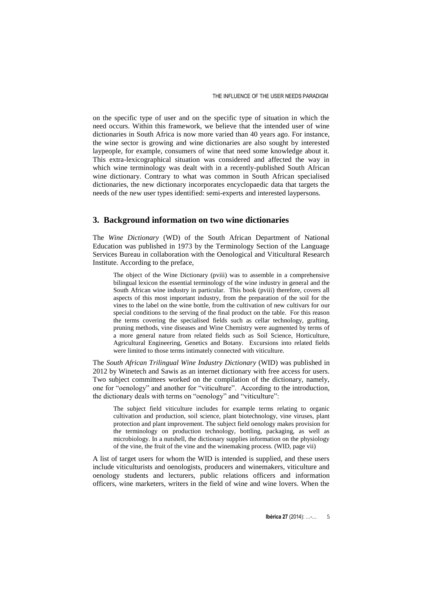on the specific type of user and on the specific type of situation in which the need occurs. Within this framework, we believe that the intended user of wine dictionaries in South Africa is now more varied than 40 years ago. For instance, the wine sector is growing and wine dictionaries are also sought by interested laypeople, for example, consumers of wine that need some knowledge about it. This extra-lexicographical situation was considered and affected the way in which wine terminology was dealt with in a recently-published South African wine dictionary. Contrary to what was common in South African specialised dictionaries, the new dictionary incorporates encyclopaedic data that targets the needs of the new user types identified: semi-experts and interested laypersons.

# **3. Background information on two wine dictionaries**

The *Wine Dictionary* (WD) of the South African Department of National Education was published in 1973 by the Terminology Section of the Language Services Bureau in collaboration with the Oenological and Viticultural Research Institute. According to the preface,

The object of the Wine Dictionary (pviii) was to assemble in a comprehensive bilingual lexicon the essential terminology of the wine industry in general and the South African wine industry in particular. This book (pviii) therefore, covers all aspects of this most important industry, from the preparation of the soil for the vines to the label on the wine bottle, from the cultivation of new cultivars for our special conditions to the serving of the final product on the table. For this reason the terms covering the specialised fields such as cellar technology, grafting, pruning methods, vine diseases and Wine Chemistry were augmented by terms of a more general nature from related fields such as Soil Science, Horticulture, Agricultural Engineering, Genetics and Botany. Excursions into related fields were limited to those terms intimately connected with viticulture.

The *South African Trilingual Wine Industry Dictionary* (WID) was published in 2012 by Winetech and Sawis as an internet dictionary with free access for users. Two subject committees worked on the compilation of the dictionary, namely, one for "oenology" and another for "viticulture". According to the introduction, the dictionary deals with terms on "oenology" and "viticulture":

The subject field viticulture includes for example terms relating to organic cultivation and production, soil science, plant biotechnology, vine viruses, plant protection and plant improvement. The subject field oenology makes provision for the terminology on production technology, bottling, packaging, as well as microbiology. In a nutshell, the dictionary supplies information on the physiology of the vine, the fruit of the vine and the winemaking process. (WID, page vii)

A list of target users for whom the WID is intended is supplied, and these users include viticulturists and oenologists, producers and winemakers, viticulture and oenology students and lecturers, public relations officers and information officers, wine marketers, writers in the field of wine and wine lovers. When the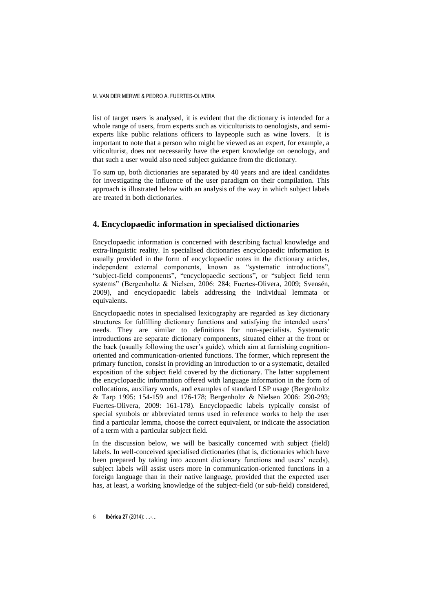list of target users is analysed, it is evident that the dictionary is intended for a whole range of users, from experts such as viticulturists to oenologists, and semiexperts like public relations officers to laypeople such as wine lovers. It is important to note that a person who might be viewed as an expert, for example, a viticulturist, does not necessarily have the expert knowledge on oenology, and that such a user would also need subject guidance from the dictionary.

To sum up, both dictionaries are separated by 40 years and are ideal candidates for investigating the influence of the user paradigm on their compilation. This approach is illustrated below with an analysis of the way in which subject labels are treated in both dictionaries.

# **4. Encyclopaedic information in specialised dictionaries**

Encyclopaedic information is concerned with describing factual knowledge and extra-linguistic reality. In specialised dictionaries encyclopaedic information is usually provided in the form of encyclopaedic notes in the dictionary articles, independent external components, known as "systematic introductions", "subject-field components", "encyclopaedic sections", or "subject field term systems" (Bergenholtz & Nielsen, 2006: 284; Fuertes-Olivera, 2009; Svensén, 2009), and encyclopaedic labels addressing the individual lemmata or equivalents.

Encyclopaedic notes in specialised lexicography are regarded as key dictionary structures for fulfilling dictionary functions and satisfying the intended users' needs. They are similar to definitions for non-specialists. Systematic introductions are separate dictionary components, situated either at the front or the back (usually following the user's guide), which aim at furnishing cognitionoriented and communication-oriented functions. The former, which represent the primary function, consist in providing an introduction to or a systematic, detailed exposition of the subject field covered by the dictionary. The latter supplement the encyclopaedic information offered with language information in the form of collocations, auxiliary words, and examples of standard LSP usage (Bergenholtz & Tarp 1995: 154-159 and 176-178; Bergenholtz & Nielsen 2006: 290-293; Fuertes-Olivera, 2009: 161-178). Encyclopaedic labels typically consist of special symbols or abbreviated terms used in reference works to help the user find a particular lemma, choose the correct equivalent, or indicate the association of a term with a particular subject field.

In the discussion below, we will be basically concerned with subject (field) labels. In well-conceived specialised dictionaries (that is, dictionaries which have been prepared by taking into account dictionary functions and users' needs), subject labels will assist users more in communication-oriented functions in a foreign language than in their native language, provided that the expected user has, at least, a working knowledge of the subject-field (or sub-field) considered,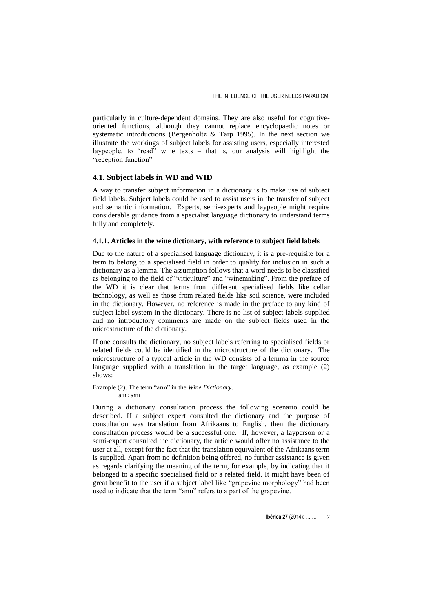particularly in culture-dependent domains. They are also useful for cognitiveoriented functions, although they cannot replace encyclopaedic notes or systematic introductions (Bergenholtz & Tarp 1995). In the next section we illustrate the workings of subject labels for assisting users, especially interested laypeople, to "read" wine texts – that is, our analysis will highlight the "reception function".

# **4.1. Subject labels in WD and WID**

A way to transfer subject information in a dictionary is to make use of subject field labels. Subject labels could be used to assist users in the transfer of subject and semantic information. Experts, semi-experts and laypeople might require considerable guidance from a specialist language dictionary to understand terms fully and completely.

### **4.1.1. Articles in the wine dictionary, with reference to subject field labels**

Due to the nature of a specialised language dictionary, it is a pre-requisite for a term to belong to a specialised field in order to qualify for inclusion in such a dictionary as a lemma. The assumption follows that a word needs to be classified as belonging to the field of "viticulture" and "winemaking". From the preface of the WD it is clear that terms from different specialised fields like cellar technology, as well as those from related fields like soil science, were included in the dictionary. However, no reference is made in the preface to any kind of subject label system in the dictionary. There is no list of subject labels supplied and no introductory comments are made on the subject fields used in the microstructure of the dictionary.

If one consults the dictionary, no subject labels referring to specialised fields or related fields could be identified in the microstructure of the dictionary. The microstructure of a typical article in the WD consists of a lemma in the source language supplied with a translation in the target language, as example (2) shows:

Example (2). The term "arm" in the *Wine Dictionary*. arm: arm

During a dictionary consultation process the following scenario could be described. If a subject expert consulted the dictionary and the purpose of consultation was translation from Afrikaans to English, then the dictionary consultation process would be a successful one. If, however, a layperson or a semi-expert consulted the dictionary, the article would offer no assistance to the user at all, except for the fact that the translation equivalent of the Afrikaans term is supplied. Apart from no definition being offered, no further assistance is given as regards clarifying the meaning of the term, for example, by indicating that it belonged to a specific specialised field or a related field. It might have been of great benefit to the user if a subject label like "grapevine morphology" had been used to indicate that the term "arm" refers to a part of the grapevine.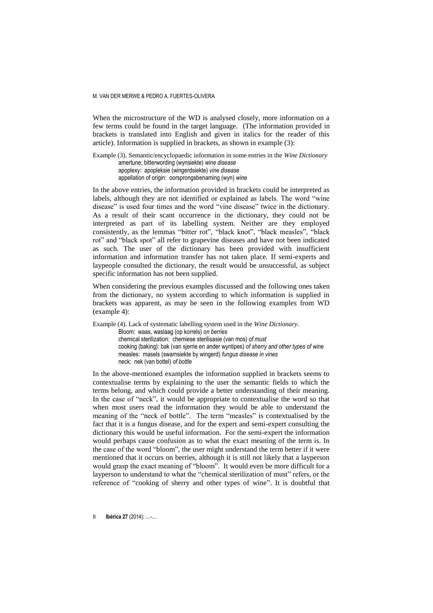When the microstructure of the WD is analysed closely, more information on a few terms could be found in the target language. (The information provided in brackets is translated into English and given in italics for the reader of this article). Information is supplied in brackets, as shown in example (3):

Example (3). Semantic/encyclopaedic information in some entries in the *Wine Dictionary* amertune; bitterwording (wynsiekte) *wine disease* apoplexy: apopleksie (wingerdsiekte) *vine disease* appellation of origin: oorsprongsbenaming (wyn) *wine*

In the above entries, the information provided in brackets could be interpreted as labels, although they are not identified or explained as labels. The word "wine disease" is used four times and the word "vine disease" twice in the dictionary. As a result of their scant occurrence in the dictionary, they could not be interpreted as part of its labelling system. Neither are they employed consistently, as the lemmas "bitter rot", "black knot", "black measles", "black rot" and "black spot" all refer to grapevine diseases and have not been indicated as such. The user of the dictionary has been provided with insufficient information and information transfer has not taken place. If semi-experts and laypeople consulted the dictionary, the result would be unsuccessful, as subject specific information has not been supplied.

When considering the previous examples discussed and the following ones taken from the dictionary, no system according to which information is supplied in brackets was apparent, as may be seen in the following examples from WD (example 4):

Example (4). Lack of systematic labelling system used in the *Wine Dictionary*. Bloom: waas, waslaag (op korrels) *on berries* chemical sterilization: chemiese sterilisasie (van mos) *of must* cooking (baking): bak (van sjerrie en ander wyntipes) *of sherry and other types of wine* measles: masels (swamsiekte by wingerd) *fungus disease in vines* neck: nek (van bottel) *of bottle*

In the above-mentioned examples the information supplied in brackets seems to contextualise terms by explaining to the user the semantic fields to which the terms belong, and which could provide a better understanding of their meaning. In the case of "neck", it would be appropriate to contextualise the word so that when most users read the information they would be able to understand the meaning of the "neck of bottle". The term "measles" is contextualised by the fact that it is a fungus disease, and for the expert and semi-expert consulting the dictionary this would be useful information. For the semi-expert the information would perhaps cause confusion as to what the exact meaning of the term is. In the case of the word "bloom", the user might understand the term better if it were mentioned that it occurs on berries, although it is still not likely that a layperson would grasp the exact meaning of "bloom".It would even be more difficult for a layperson to understand to what the "chemical sterilization of must" refers, or the reference of "cooking of sherry and other types of wine". It is doubtful that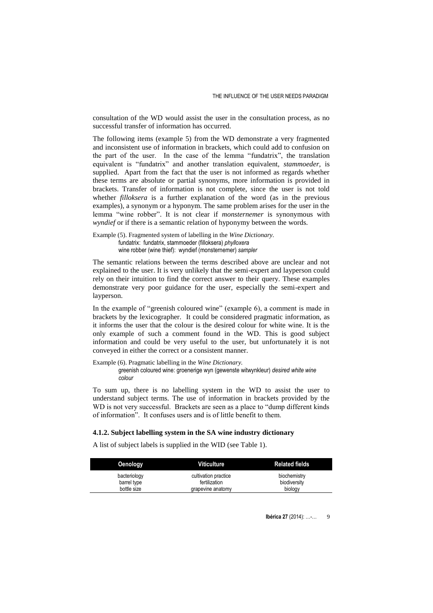consultation of the WD would assist the user in the consultation process, as no successful transfer of information has occurred.

The following items (example 5) from the WD demonstrate a very fragmented and inconsistent use of information in brackets, which could add to confusion on the part of the user. In the case of the lemma "fundatrix", the translation equivalent is "fundatrix" and another translation equivalent, *stammoeder*, is supplied. Apart from the fact that the user is not informed as regards whether these terms are absolute or partial synonyms, more information is provided in brackets. Transfer of information is not complete, since the user is not told whether *filloksera* is a further explanation of the word (as in the previous examples), a synonym or a hyponym. The same problem arises for the user in the lemma "wine robber". It is not clear if *monsternemer* is synonymous with *wyndief* or if there is a semantic relation of hyponymy between the words.

Example (5). Fragmented system of labelling in the *Wine Dictionary.*  fundatrix: fundatrix, stammoeder (filloksera) *phylloxera* wine robber (wine thief): wyndief (monsternemer) *sampler*

The semantic relations between the terms described above are unclear and not explained to the user. It is very unlikely that the semi-expert and layperson could rely on their intuition to find the correct answer to their query. These examples demonstrate very poor guidance for the user, especially the semi-expert and layperson.

In the example of "greenish coloured wine" (example 6), a comment is made in brackets by the lexicographer. It could be considered pragmatic information, as it informs the user that the colour is the desired colour for white wine. It is the only example of such a comment found in the WD. This is good subject information and could be very useful to the user, but unfortunately it is not conveyed in either the correct or a consistent manner.

Example (6). Pragmatic labelling in the *Wine Dictionary.* greenish coloured wine: groenerige wyn (gewenste witwynkleur) *desired white wine colour*

To sum up, there is no labelling system in the WD to assist the user to understand subject terms. The use of information in brackets provided by the WD is not very successful. Brackets are seen as a place to "dump different kinds" of information". It confuses users and is of little benefit to them.

### **4.1.2. Subject labelling system in the SA wine industry dictionary**

A list of subject labels is supplied in the WID (see Table 1).

| <b>Oenology</b>             | <b>Viticulture</b>                    | <b>Related fields</b>        |
|-----------------------------|---------------------------------------|------------------------------|
| bacteriology<br>barrel type | cultivation practice<br>fertilization | biochemistry<br>biodiversity |
| bottle size                 | grapevine anatomy                     | biology                      |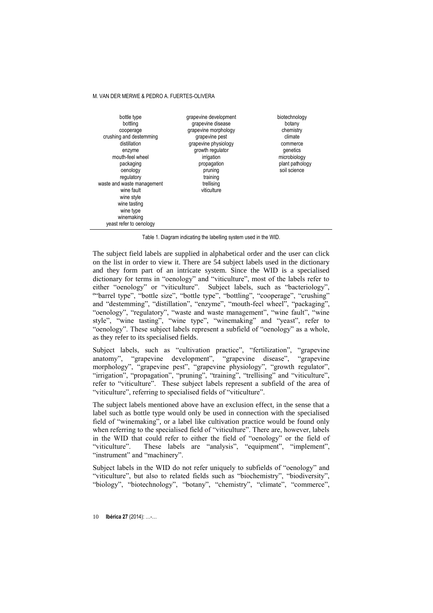| bottle type                | grapevine development | biotechnology   |
|----------------------------|-----------------------|-----------------|
| bottling                   | grapevine disease     | botany          |
| cooperage                  | grapevine morphology  | chemistry       |
| crushing and destemming    | grapevine pest        | climate         |
| distillation               | grapevine physiology  | commerce        |
| enzyme                     | growth regulator      | genetics        |
| mouth-feel wheel           | irrigation            | microbiology    |
| packaging                  | propagation           | plant pathology |
| oenology                   | pruning               | soil science    |
| regulatory                 | training              |                 |
| waste and waste management | trellising            |                 |
| wine fault                 | viticulture           |                 |
| wine style                 |                       |                 |
| wine tasting               |                       |                 |
| wine type                  |                       |                 |
| winemaking                 |                       |                 |
| yeast refer to oenology    |                       |                 |

Table 1. Diagram indicating the labelling system used in the WID.

The subject field labels are supplied in alphabetical order and the user can click on the list in order to view it. There are 54 subject labels used in the dictionary and they form part of an intricate system. Since the WID is a specialised dictionary for terms in "oenology" and "viticulture", most of the labels refer to either "oenology" or "viticulture". Subject labels, such as "bacteriology", º"barrel type", "bottle size", "bottle type", "bottling", "cooperage", "crushing" and "destemming", "distillation", "enzyme", "mouth-feel wheel", "packaging", "oenology", "regulatory", "waste and waste management", "wine fault", "wine style", "wine tasting", "wine type", "winemaking" and "yeast", refer to "oenology". These subject labels represent a subfield of "oenology" as a whole, as they refer to its specialised fields.

Subject labels, such as "cultivation practice", "fertilization", "grapevine anatomy", "grapevine development", "grapevine disease", "grapevine morphology", "grapevine pest", "grapevine physiology", "growth regulator", "irrigation", "propagation", "pruning", "training", "trellising" and "viticulture", refer to "viticulture". These subject labels represent a subfield of the area of "viticulture", referring to specialised fields of "viticulture".

The subject labels mentioned above have an exclusion effect, in the sense that a label such as bottle type would only be used in connection with the specialised field of "winemaking", or a label like cultivation practice would be found only when referring to the specialised field of "viticulture". There are, however, labels in the WID that could refer to either the field of "oenology" or the field of "viticulture". These labels are "analysis", "equipment", "implement", "instrument" and "machinery".

Subject labels in the WID do not refer uniquely to subfields of "oenology" and "viticulture", but also to related fields such as "biochemistry", "biodiversity", "biology", "biotechnology", "botany", "chemistry", "climate", "commerce",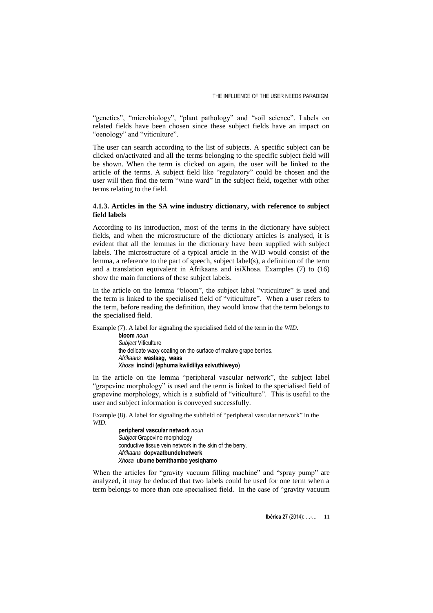"genetics", "microbiology", "plant pathology" and "soil science". Labels on related fields have been chosen since these subject fields have an impact on "oenology" and "viticulture".

The user can search according to the list of subjects. A specific subject can be clicked on/activated and all the terms belonging to the specific subject field will be shown. When the term is clicked on again, the user will be linked to the article of the terms. A subject field like "regulatory" could be chosen and the user will then find the term "wine ward" in the subject field, together with other terms relating to the field.

# **4.1.3. Articles in the SA wine industry dictionary, with reference to subject field labels**

According to its introduction, most of the terms in the dictionary have subject fields, and when the microstructure of the dictionary articles is analysed, it is evident that all the lemmas in the dictionary have been supplied with subject labels. The microstructure of a typical article in the WID would consist of the lemma, a reference to the part of speech, subject label(s), a definition of the term and a translation equivalent in Afrikaans and isiXhosa. Examples (7) to (16) show the main functions of these subject labels.

In the article on the lemma "bloom", the subject label "viticulture" is used and the term is linked to the specialised field of "viticulture". When a user refers to the term, before reading the definition, they would know that the term belongs to the specialised field.

Example (7). A label for signaling the specialised field of the term in the *WID*.

**bloom** *noun Subject* Viticulture the delicate waxy coating on the surface of mature grape berries. *Afrikaans* **waslaag, waas** *Xhosa* **incindi (ephuma kwiidiliya ezivuthiweyo)**

In the article on the lemma "peripheral vascular network", the subject label "grapevine morphology" *is* used and the term is linked to the specialised field of grapevine morphology, which is a subfield of "viticulture". This is useful to the user and subject information is conveyed successfully.

Example (8). A label for signaling the subfield of "peripheral vascular network" in the *WID*.

**peripheral vascular network** *noun Subject* Grapevine morphology conductive tissue vein network in the skin of the berry. *Afrikaans* **dopvaatbundelnetwerk** *Xhosa* **ubume bemithambo yesiqhamo**

When the articles for "gravity vacuum filling machine" and "spray pump" are analyzed, it may be deduced that two labels could be used for one term when a term belongs to more than one specialised field. In the case of "gravity vacuum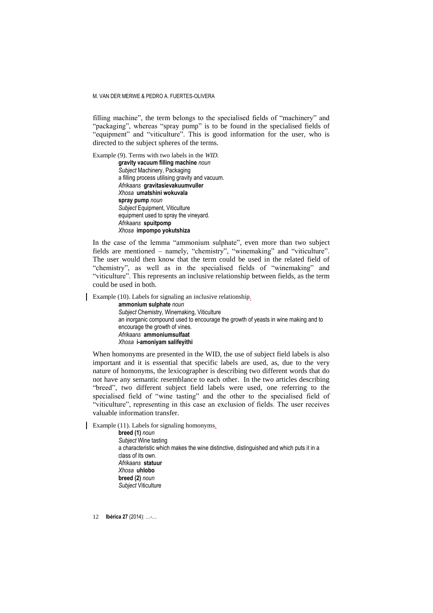filling machine", the term belongs to the specialised fields of "machinery" and "packaging", whereas "spray pump" is to be found in the specialised fields of "equipment" and "viticulture". This is good information for the user, who is directed to the subject spheres of the terms.

Example (9). Terms with two labels in the *WID.* **gravity vacuum filling machine** *noun Subject* Machinery, Packaging a filling process utilising gravity and vacuum. *Afrikaans* **gravitasievakuumvuller** *Xhosa* **umatshini wokuvala spray pump** *noun Subject* Equipment, Viticulture equipment used to spray the vineyard. *Afrikaans* **spuitpomp** *Xhosa* **impompo yokutshiza**

In the case of the lemma "ammonium sulphate", even more than two subject fields are mentioned – namely, "chemistry", "winemaking" and "viticulture". The user would then know that the term could be used in the related field of "chemistry", as well as in the specialised fields of "winemaking" and "viticulture". This represents an inclusive relationship between fields, as the term could be used in both.

Example (10). Labels for signaling an inclusive relationship.

**ammonium sulphate** *noun Subject* Chemistry, Winemaking, Viticulture an inorganic compound used to encourage the growth of yeasts in wine making and to encourage the growth of vines. *Afrikaans* **ammoniumsulfaat** *Xhosa* **i-amoniyam salifeyithi**

When homonyms are presented in the WID, the use of subject field labels is also important and it is essential that specific labels are used, as, due to the very nature of homonyms, the lexicographer is describing two different words that do not have any semantic resemblance to each other. In the two articles describing "breed", two different subject field labels were used, one referring to the specialised field of "wine tasting" and the other to the specialised field of "viticulture", representing in this case an exclusion of fields. The user receives valuable information transfer.

Example (11). Labels for signaling homonyms.

**breed (1)** *noun Subject* Wine tasting a characteristic which makes the wine distinctive, distinguished and which puts it in a class of its own. *Afrikaans* **statuur** *Xhosa* **uhlobo breed (2)** *noun Subject* Viticulture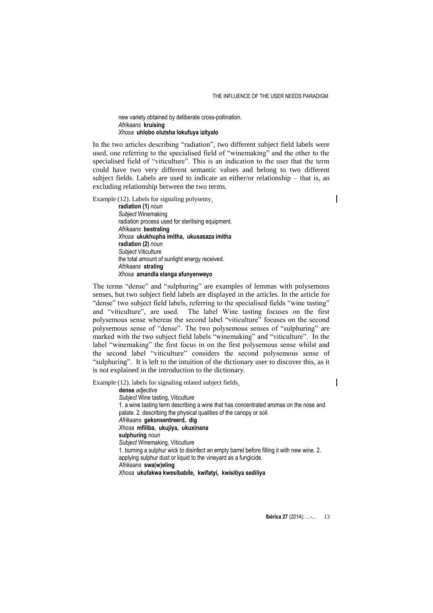### new variety obtained by deliberate cross-pollination. *Afrikaans* **kruising** *Xhosa* **uhlobo olutsha lokufuya izityalo**

In the two articles describing "radiation", two different subject field labels were used, one referring to the specialised field of "winemaking" and the other to the specialised field of "viticulture". This is an indication to the user that the term could have two very different semantic values and belong to two different subject fields. Labels are used to indicate an either/or relationship – that is, an excluding relationship between the two terms.

Example (12). Labels for signaling polysemy.

 $\overline{\phantom{a}}$ 

**radiation (1)** *noun Subject* Winemaking radiation process used for sterilising equipment. *Afrikaans* **bestraling** *Xhosa* **ukukhupha imitha, ukusasaza imitha radiation (2)** *noun Subject* Viticulture the total amount of sunlight energy received. *Afrikaans* **straling** *Xhosa* **amandla elanga afunyenweyo**

The terms "dense" and "sulphuring" are examples of lemmas with polysemous senses, but two subject field labels are displayed in the articles. In the article for "dense" two subject field labels, referring to the specialised fields "wine tasting" and "viticulture", are used. The label Wine tasting focuses on the first polysemous sense whereas the second label "viticulture" focuses on the second polysemous sense of "dense". The two polysemous senses of "sulphuring" are marked with the two subject field labels "winemaking" and "viticulture". In the label "winemaking" the first focus in on the first polysemous sense whilst and the second label "viticulture" considers the second polysemous sense of "sulphuring". It is left to the intuition of the dictionary user to discover this, as it is not explained in the introduction to the dictionary.

Example (12). labels for signaling related subject fields.

**dense** *adjective Subject* Wine tasting, Viticulture 1. a wine tasting term describing a wine that has concentrated aromas on the nose and palate. 2. describing the physical qualities of the canopy or soil. *Afrikaans* **gekonsentreerd, dig** *Xhosa* **mfiliba, ukujiya, ukuxinana sulphuring** *noun Subject* Winemaking, Viticulture 1. burning a sulphur wick to disinfect an empty barrel before filling it with new wine. 2. applying sulphur dust or liquid to the vineyard as a fungicide. *Afrikaans* **swa(w)eling** *Xhosa* **ukufakwa kwesibabile, kwifatyi, kwisitiya sediliya**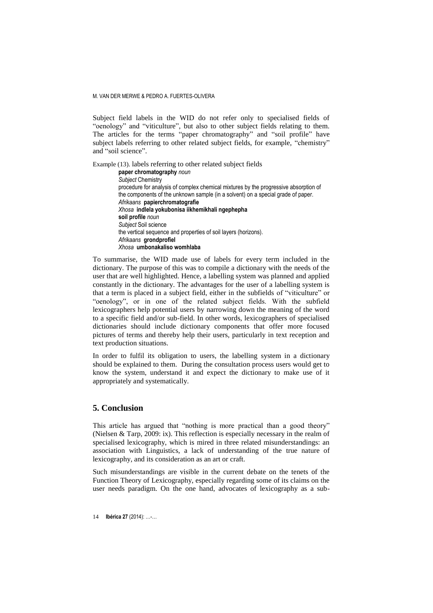Subject field labels in the WID do not refer only to specialised fields of "oenology" and "viticulture", but also to other subject fields relating to them. The articles for the terms "paper chromatography" and "soil profile" have subject labels referring to other related subject fields, for example, "chemistry" and "soil science".

Example (13). labels referring to other related subject fields

**paper chromatography** *noun Subject* Chemistry procedure for analysis of complex chemical mixtures by the progressive absorption of the components of the unknown sample (in a solvent) on a special grade of paper. *Afrikaans* **papierchromatografie** *Xhosa* **indlela yokubonisa iikhemikhali ngephepha soil profile** *noun Subject* Soil science the vertical sequence and properties of soil layers (horizons). *Afrikaans* **grondprofiel** *Xhosa* **umbonakaliso womhlaba**

To summarise, the WID made use of labels for every term included in the dictionary. The purpose of this was to compile a dictionary with the needs of the user that are well highlighted. Hence, a labelling system was planned and applied constantly in the dictionary. The advantages for the user of a labelling system is that a term is placed in a subject field, either in the subfields of "viticulture" or "oenology", or in one of the related subject fields. With the subfield lexicographers help potential users by narrowing down the meaning of the word to a specific field and/or sub-field. In other words, lexicographers of specialised dictionaries should include dictionary components that offer more focused pictures of terms and thereby help their users, particularly in text reception and text production situations.

In order to fulfil its obligation to users, the labelling system in a dictionary should be explained to them. During the consultation process users would get to know the system, understand it and expect the dictionary to make use of it appropriately and systematically.

# **5. Conclusion**

This article has argued that "nothing is more practical than a good theory" (Nielsen & Tarp, 2009: ix). This reflection is especially necessary in the realm of specialised lexicography, which is mired in three related misunderstandings: an association with Linguistics, a lack of understanding of the true nature of lexicography, and its consideration as an art or craft.

Such misunderstandings are visible in the current debate on the tenets of the Function Theory of Lexicography, especially regarding some of its claims on the user needs paradigm. On the one hand, advocates of lexicography as a sub-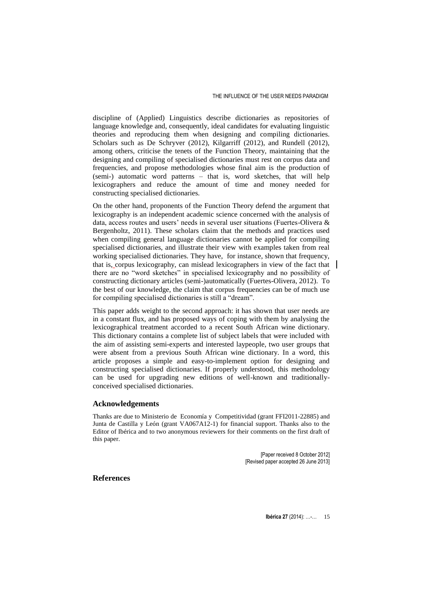discipline of (Applied) Linguistics describe dictionaries as repositories of language knowledge and, consequently, ideal candidates for evaluating linguistic theories and reproducing them when designing and compiling dictionaries. Scholars such as De Schryver (2012), Kilgarriff (2012), and Rundell (2012), among others, criticise the tenets of the Function Theory, maintaining that the designing and compiling of specialised dictionaries must rest on corpus data and frequencies, and propose methodologies whose final aim is the production of (semi-) automatic word patterns – that is, word sketches, that will help lexicographers and reduce the amount of time and money needed for constructing specialised dictionaries.

On the other hand, proponents of the Function Theory defend the argument that lexicography is an independent academic science concerned with the analysis of data, access routes and users' needs in several user situations (Fuertes-Olivera & Bergenholtz, 2011). These scholars claim that the methods and practices used when compiling general language dictionaries cannot be applied for compiling specialised dictionaries, and illustrate their view with examples taken from real working specialised dictionaries. They have, for instance, shown that frequency, that is, corpus lexicography, can mislead lexicographers in view of the fact that there are no "word sketches" in specialised lexicography and no possibility of constructing dictionary articles (semi-)automatically (Fuertes-Olivera, 2012). To the best of our knowledge, the claim that corpus frequencies can be of much use for compiling specialised dictionaries is still a "dream".

This paper adds weight to the second approach: it has shown that user needs are in a constant flux, and has proposed ways of coping with them by analysing the lexicographical treatment accorded to a recent South African wine dictionary. This dictionary contains a complete list of subject labels that were included with the aim of assisting semi-experts and interested laypeople, two user groups that were absent from a previous South African wine dictionary. In a word, this article proposes a simple and easy-to-implement option for designing and constructing specialised dictionaries. If properly understood, this methodology can be used for upgrading new editions of well-known and traditionallyconceived specialised dictionaries.

### **Acknowledgements**

Thanks are due to Ministerio de Economía y Competitividad (grant FFI2011-22885) and Junta de Castilla y León (grant VA067A12-1) for financial support. Thanks also to the Editor of Ibérica and to two anonymous reviewers for their comments on the first draft of this paper.

> [Paper received 8 October 2012] [Revised paper accepted 26 June 2013]

**References**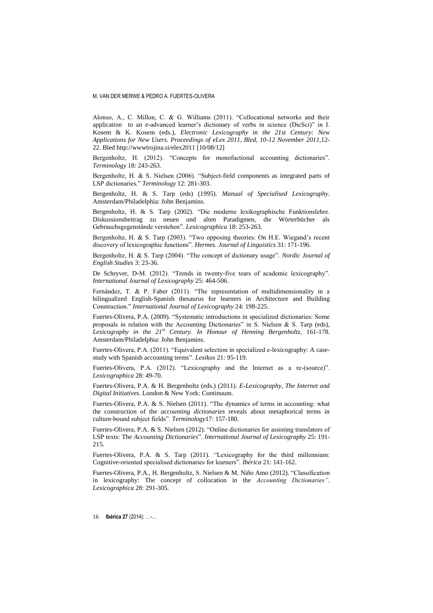Alonso, A., C. Millon, C. & G. Williams (2011). "Collocational networks and their application to an e-advanced learner's dictionary of verbs in science (DicSci)" in I. Kosem & K. Kosem (eds.), *Electronic Lexicography in the 21st Century: New Applications for New Users. Proceedings of eLex 2011, Bled, 10-12 November 2011,*12- 22. Ble[d http://wwwtrojina.si/elex2011](http://wwwtrojina.si/elex2011) [10/08/12]

Bergenholtz, H. (2012). "Concepts for monofuctional accounting dictionaries". *Terminology* 18: 243-263.

Bergenholtz, H. & S. Nielsen (2006). "Subject-field components as integrated parts of LSP dictionaries." *Terminology* 12: 281-303.

Bergenholtz, H. & S. Tarp (eds) (1995). *Manual of Specialised Lexicography*. Amsterdam/Philadelphia: John Benjamins.

Bergenholtz, H. & S. Tarp (2002). "Die moderne lexikographische Funktionslehre. Diskussionsbeitrag zu neuen und alten Paradigmen, die Wörterbücher als Gebrauchsgegenstände verstehen". *Lexicographica* 18: 253-263.

Bergenholtz, H. & S. Tarp (2003). "Two opposing theories: On H.E. Wiegand's recent discovery of lexicographic functions". *Hermes. Journal of Linguistics* 31: 171-196.

Bergenholtz, H. & S. Tarp (2004). "The concept of dictionary usage". *Nordic Journal of English Studies* 3: 23-36.

De Schryver, D-M. (2012). "Trends in twenty-five tears of academic lexicography". *International Journal of Lexicography* 25: 464-506.

Fernández, T. & P. Faber (2011). "The representation of multidimensionality in a bilingualized English-Spanish thesaurus for learners in Architecture and Building Construction." *International Journal of Lexicography* 24: 198-225.

Fuertes-Olivera, P.A. (2009). "Systematic introductions in specialized dictionaries: Some proposals in relation with the Accounting Dictionaries" in S. Nielsen & S. Tarp (eds), *Lexicography in the 21st Century. In Honour of Henning Bergenholtz*, 161-178. Amsterdam/Philadelphia: John Benjamins.

Fuertes-Olivera, P.A. (2011). "Equivalent selection in specialized e-lexicography: A casestudy with Spanish accounting terms". *Lexikos* 21: 95-119.

Fuertes-Olivera, P.A. (2012). "Lexicography and the Internet as a re-(source)". *Lexicographica* 28: 49-70.

Fuertes-Olivera, P.A. & H. Bergenholtz (eds.) (2011). *E-Lexicography, The Internet and Digital Initiatives*. London & New York: Continuum.

Fuertes-Olivera, P.A. & S. Nielsen (2011). "The dynamics of terms in accounting: what the construction of the *accounting dictionaries* reveals about metaphorical terms in culture-bound subject fields". *Terminology*17: 157-180.

Fuertes-Olivera, P.A. & S. Nielsen (2012). "Online dictionaries for assisting translators of LSP texts: The *Accounting Dictionaries*". *International Journal of Lexicography* 25: 191- 215.

Fuertes-Olivera, P.A. & S. Tarp (2011). "Lexicography for the third millennium: Cognitive-oriented specialised dictionaries for learners". *Ibérica* 21: 141-162.

Fuertes-Olivera, P.A., H. Bergenholtz, S. Nielsen & M. Niño Amo (2012). "Classification in lexicography: The concept of collocation in the *Accounting Dictionaries"*. *Lexicographica* 28: 291-305.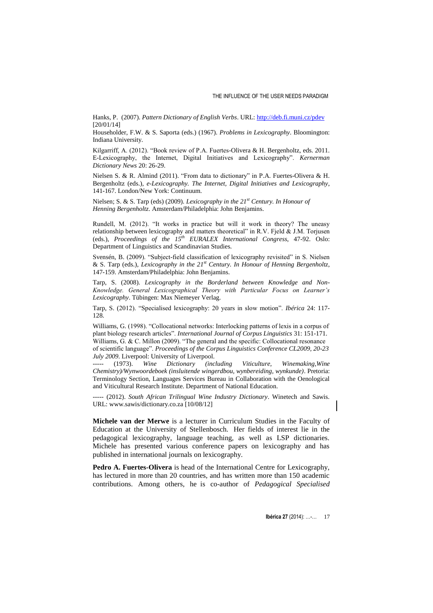Hanks, P. (2007). *Pattern Dictionary of English Verbs*. URL:<http://deb.fi.muni.cz/pdev> [20/01/14]

Householder, F.W. & S. Saporta (eds.) (1967). *Problems in Lexicography*. Bloomington: Indiana University.

Kilgarriff, A. (2012). "Book review of P.A. Fuertes-Olivera & H. Bergenholtz, eds. 2011. E-Lexicography, the Internet, Digital Initiatives and Lexicography". *Kernerman Dictionary News* 20: 26-29.

Nielsen S. & R. Almind (2011). "From data to dictionary" in P.A. Fuertes-Olivera & H. Bergenholtz (eds.), *e-Lexicography. The Internet, Digital Initiatives and Lexicography*, 141-167. London/New York: Continuum.

Nielsen; S. & S. Tarp (eds) (2009). *Lexicography in the 21st Century. In Honour of Henning Bergenholtz*. Amsterdam/Philadelphia: John Benjamins.

Rundell, M. (2012). "It works in practice but will it work in theory? The uneasy relationship between lexicography and matters theoretical" in R.V. Fjeld & J.M. Torjusen (eds.), *Proceedings of the 15th EURALEX International Congress*, 47-92. Oslo: Department of Linguistics and Scandinavian Studies.

Svensén, B. (2009). "Subject-field classification of lexicography revisited" in S. Nielsen & S. Tarp (eds.), *Lexicography in the 21st Century. In Honour of Henning Bergenholtz*, 147-159. Amsterdam/Philadelphia: John Benjamins.

Tarp, S. (2008). *Lexicography in the Borderland between Knowledge and Non-Knowledge. General Lexicographical Theory with Particular Focus on Learner's Lexicography*. Tübingen: Max Niemeyer Verlag.

Tarp, S. (2012). "Specialised lexicography: 20 years in slow motion". *Ibérica* 24: 117- 128.

Williams, G. (1998). "Collocational networks: Interlocking patterns of lexis in a corpus of plant biology research articles". *International Journal of Corpus Linguistics* 31: 151-171. Williams, G. & C. Millon (2009). "The general and the specific: Collocational resonance

of scientific language". *Proceedings of the Corpus Linguistics Conference CL2009, 20-23 July 2009*. Liverpool: University of Liverpool.<br>----- (1973). Wine Dictionary (including

----- (1973). *Wine Dictionary (including Viticulture, Winemaking,Wine Chemistry)/Wynwoordeboek (insluitende wingerdbou, wynbereiding, wynkunde)*. Pretoria: Terminology Section, Languages Services Bureau in Collaboration with the Oenological and Viticultural Research Institute. Department of National Education.

----- (2012). *South African Trilingual Wine Industry Dictionary*. Winetech and Sawis. URL: [www.sawis/dictionary.co.za](http://www.sawis/dictionary.co.za) [10/08/12]

**Michele van der Merwe** is a lecturer in Curriculum Studies in the Faculty of Education at the University of Stellenbosch. Her fields of interest lie in the pedagogical lexicography, language teaching, as well as LSP dictionaries. Michele has presented various conference papers on lexicography and has published in international journals on lexicography.

**Pedro A. Fuertes-Olivera** is head of the International Centre for Lexicography, has lectured in more than 20 countries, and has written more than 150 academic contributions. Among others, he is co-author of *Pedagogical Specialised*